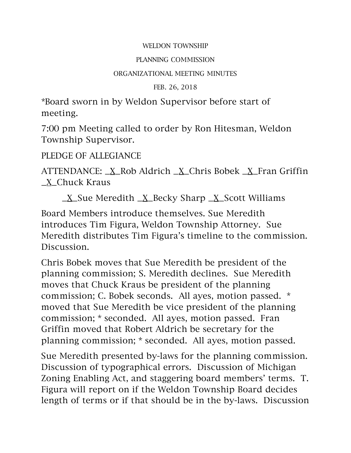## WELDON TOWNSHIP

## PLANNING COMMISSION

## ORGANIZATIONAL MEETING MINUTES

FEB. 26, 2018

\*Board sworn in by Weldon Supervisor before start of meeting.

7:00 pm Meeting called to order by Ron Hitesman, Weldon Township Supervisor.

## PLEDGE OF ALLEGIANCE

ATTENDANCE: \_X\_Rob Aldrich \_X\_Chris Bobek \_X\_Fran Griffin \_X\_Chuck Kraus

 $X$ Sue Meredith  $X$  Becky Sharp  $X$  Scott Williams

Board Members introduce themselves. Sue Meredith introduces Tim Figura, Weldon Township Attorney. Sue Meredith distributes Tim Figura's timeline to the commission. Discussion.

Chris Bobek moves that Sue Meredith be president of the planning commission; S. Meredith declines. Sue Meredith moves that Chuck Kraus be president of the planning commission; C. Bobek seconds. All ayes, motion passed. \* moved that Sue Meredith be vice president of the planning commission; \* seconded. All ayes, motion passed. Fran Griffin moved that Robert Aldrich be secretary for the planning commission; \* seconded. All ayes, motion passed.

Sue Meredith presented by-laws for the planning commission. Discussion of typographical errors. Discussion of Michigan Zoning Enabling Act, and staggering board members' terms. T. Figura will report on if the Weldon Township Board decides length of terms or if that should be in the by-laws. Discussion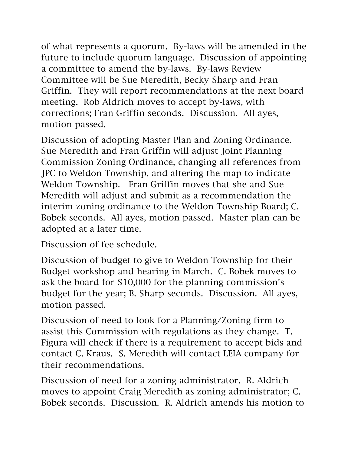of what represents a quorum. By-laws will be amended in the future to include quorum language. Discussion of appointing a committee to amend the by-laws. By-laws Review Committee will be Sue Meredith, Becky Sharp and Fran Griffin. They will report recommendations at the next board meeting. Rob Aldrich moves to accept by-laws, with corrections; Fran Griffin seconds. Discussion. All ayes, motion passed.

Discussion of adopting Master Plan and Zoning Ordinance. Sue Meredith and Fran Griffin will adjust Joint Planning Commission Zoning Ordinance, changing all references from JPC to Weldon Township, and altering the map to indicate Weldon Township. Fran Griffin moves that she and Sue Meredith will adjust and submit as a recommendation the interim zoning ordinance to the Weldon Township Board; C. Bobek seconds. All ayes, motion passed. Master plan can be adopted at a later time.

Discussion of fee schedule.

Discussion of budget to give to Weldon Township for their Budget workshop and hearing in March. C. Bobek moves to ask the board for \$10,000 for the planning commission's budget for the year; B. Sharp seconds. Discussion. All ayes, motion passed.

Discussion of need to look for a Planning/Zoning firm to assist this Commission with regulations as they change. T. Figura will check if there is a requirement to accept bids and contact C. Kraus. S. Meredith will contact LEIA company for their recommendations.

Discussion of need for a zoning administrator. R. Aldrich moves to appoint Craig Meredith as zoning administrator; C. Bobek seconds. Discussion. R. Aldrich amends his motion to